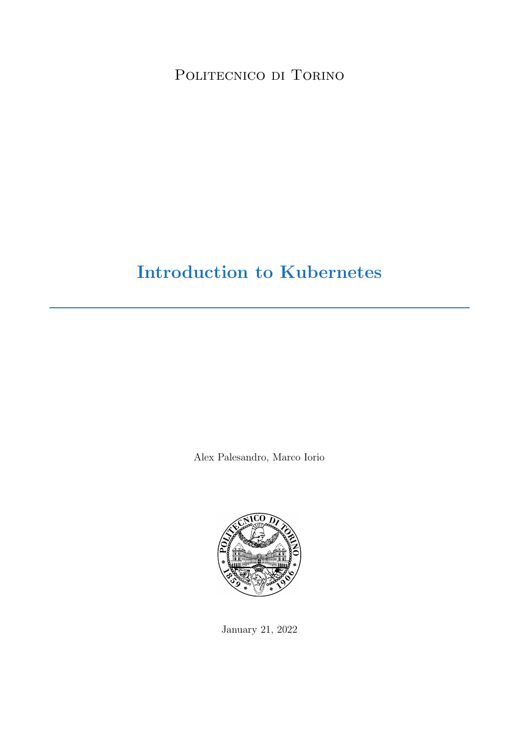POLITECNICO DI TORINO

# Introduction to Kubernetes

Alex Palesandro, Marco Iorio



January 21, 2022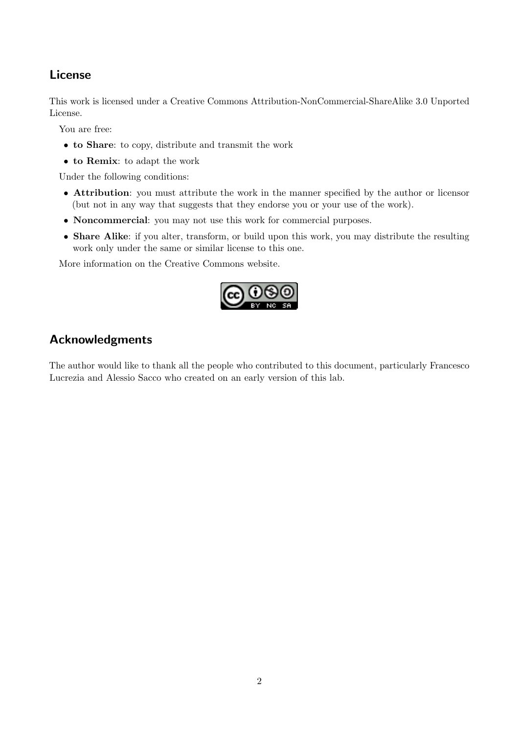# License

This work is licensed under a Creative Commons Attribution-NonCommercial-ShareAlike 3.0 Unported License.

You are free:

- to Share: to copy, distribute and transmit the work
- to Remix: to adapt the work

Under the following conditions:

- Attribution: you must attribute the work in the manner specified by the author or licensor (but not in any way that suggests that they endorse you or your use of the work).
- Noncommercial: you may not use this work for commercial purposes.
- Share Alike: if you alter, transform, or build upon this work, you may distribute the resulting work only under the same or similar license to this one.

More information on the [Creative Commons website.](http://creativecommons.org)



# Acknowledgments

The author would like to thank all the people who contributed to this document, particularly Francesco Lucrezia and Alessio Sacco who created on an early version of this lab.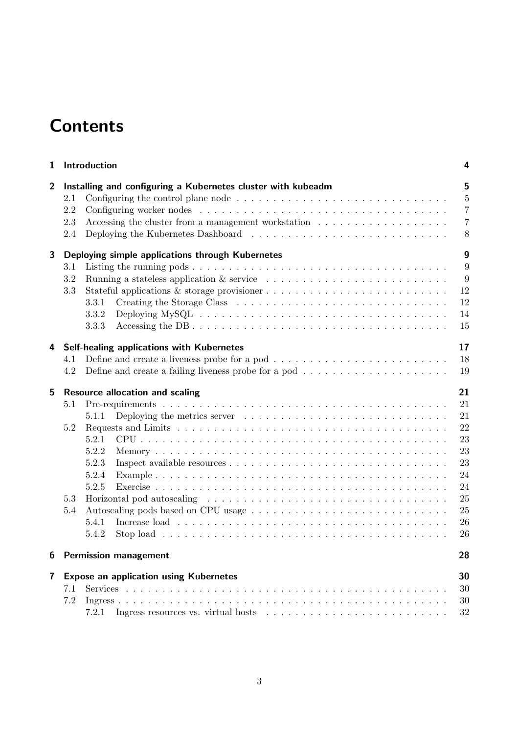# **Contents**

| 1 | Introduction                                                                                                                                                                                                                                                                                                           | 4                                                                    |
|---|------------------------------------------------------------------------------------------------------------------------------------------------------------------------------------------------------------------------------------------------------------------------------------------------------------------------|----------------------------------------------------------------------|
| 2 | Installing and configuring a Kubernetes cluster with kubeadm<br>2.1<br>2.2<br>2.3<br>2.4                                                                                                                                                                                                                               | 5<br>$\overline{5}$<br>$\overline{7}$<br>$\overline{7}$<br>8         |
| 3 | Deploying simple applications through Kubernetes<br>3.1<br>3.2<br>3.3<br>3.3.1<br>Deploying MySQL $\ldots \ldots \ldots \ldots \ldots \ldots \ldots \ldots \ldots \ldots \ldots \ldots \ldots$<br>3.3.2<br>3.3.3                                                                                                       | $\boldsymbol{9}$<br>9<br>9<br>12<br>12<br>14<br>15                   |
| 4 | Self-healing applications with Kubernetes                                                                                                                                                                                                                                                                              | 17                                                                   |
|   | Define and create a liveness probe for a pod $\dots \dots \dots \dots \dots \dots \dots \dots \dots$<br>4.1<br>Define and create a failing liveness probe for a pod $\dots \dots \dots \dots \dots \dots \dots$<br>4.2                                                                                                 | 18<br>19                                                             |
| 5 | <b>Resource allocation and scaling</b>                                                                                                                                                                                                                                                                                 | 21                                                                   |
|   | 5.1<br>Deploying the metrics server $\dots \dots \dots \dots \dots \dots \dots \dots \dots \dots \dots$<br>5.1.1<br>5.2<br>5.2.1<br>5.2.2<br>5.2.3<br>5.2.4<br>5.2.5<br>5.3<br>$5.4\,$<br>Increase load $\ldots \ldots \ldots \ldots \ldots \ldots \ldots \ldots \ldots \ldots \ldots \ldots \ldots$<br>5.4.1<br>5.4.2 | 21<br>21<br>22<br>23<br>23<br>23<br>24<br>24<br>25<br>25<br>26<br>26 |
| 6 | <b>Permission management</b>                                                                                                                                                                                                                                                                                           | 28                                                                   |
| 7 | <b>Expose an application using Kubernetes</b><br>7.1<br>7.2<br>Ingress resources vs. virtual hosts $\ldots \ldots \ldots \ldots \ldots \ldots \ldots \ldots$<br>7.2.1                                                                                                                                                  | 30<br>30<br>30<br>$32\,$                                             |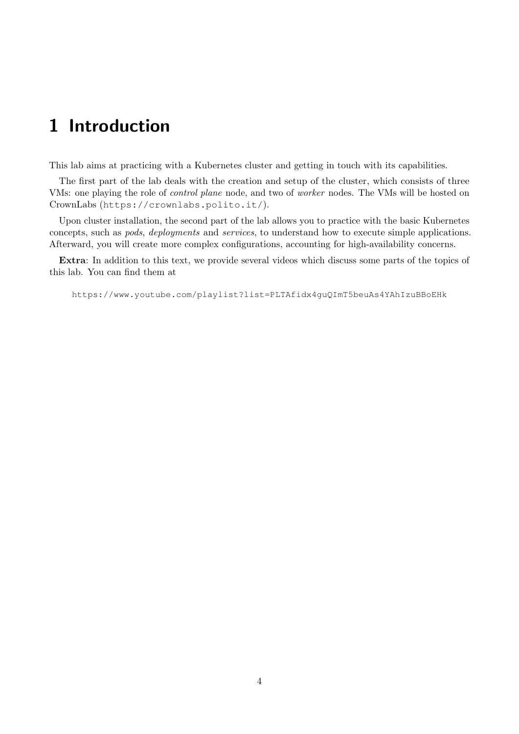# <span id="page-3-0"></span>1 Introduction

This lab aims at practicing with a Kubernetes cluster and getting in touch with its capabilities.

The first part of the lab deals with the creation and setup of the cluster, which consists of three VMs: one playing the role of control plane node, and two of worker nodes. The VMs will be hosted on CrownLabs (<https://crownlabs.polito.it/>).

Upon cluster installation, the second part of the lab allows you to practice with the basic Kubernetes concepts, such as pods, deployments and services, to understand how to execute simple applications. Afterward, you will create more complex configurations, accounting for high-availability concerns.

Extra: In addition to this text, we provide several videos which discuss some parts of the topics of this lab. You can find them at

<https://www.youtube.com/playlist?list=PLTAfidx4guQImT5beuAs4YAhIzuBBoEHk>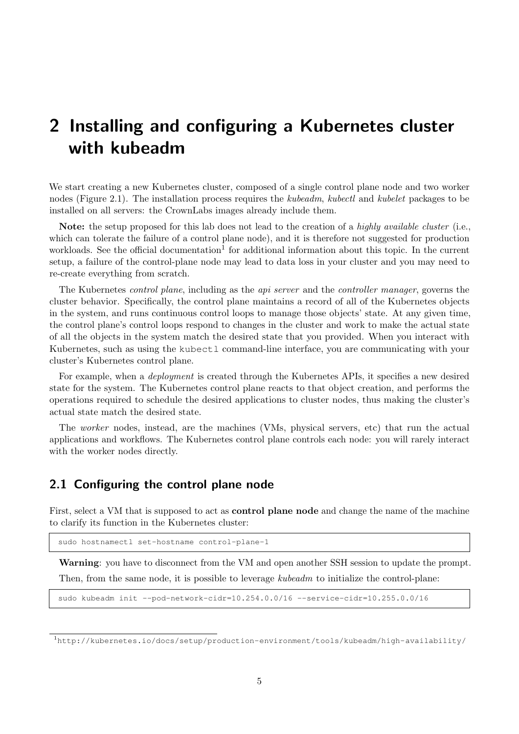# <span id="page-4-0"></span>2 Installing and configuring a Kubernetes cluster with kubeadm

We start creating a new Kubernetes cluster, composed of a single control plane node and two worker nodes [\(Figure 2.1\)](#page-5-0). The installation process requires the kubeadm, kubectl and kubelet packages to be installed on all servers: the CrownLabs images already include them.

Note: the setup proposed for this lab does not lead to the creation of a highly available cluster (i.e., which can tolerate the failure of a control plane node), and it is therefore not suggested for production workloads. See the official documentation<sup>[1](#page-4-2)</sup> for additional information about this topic. In the current setup, a failure of the control-plane node may lead to data loss in your cluster and you may need to re-create everything from scratch.

The Kubernetes *control plane*, including as the *api server* and the *controller manager*, governs the cluster behavior. Specifically, the control plane maintains a record of all of the Kubernetes objects in the system, and runs continuous control loops to manage those objects' state. At any given time, the control plane's control loops respond to changes in the cluster and work to make the actual state of all the objects in the system match the desired state that you provided. When you interact with Kubernetes, such as using the kubectl command-line interface, you are communicating with your cluster's Kubernetes control plane.

For example, when a *deployment* is created through the Kubernetes APIs, it specifies a new desired state for the system. The Kubernetes control plane reacts to that object creation, and performs the operations required to schedule the desired applications to cluster nodes, thus making the cluster's actual state match the desired state.

The worker nodes, instead, are the machines (VMs, physical servers, etc) that run the actual applications and workflows. The Kubernetes control plane controls each node: you will rarely interact with the worker nodes directly.

### <span id="page-4-1"></span>2.1 Configuring the control plane node

First, select a VM that is supposed to act as **control plane node** and change the name of the machine to clarify its function in the Kubernetes cluster:

sudo hostnamectl set-hostname control-plane-1

Warning: you have to disconnect from the VM and open another SSH session to update the prompt. Then, from the same node, it is possible to leverage kubeadm to initialize the control-plane:

sudo kubeadm init --pod-network-cidr=10.254.0.0/16 --service-cidr=10.255.0.0/16

<span id="page-4-2"></span><sup>1</sup><http://kubernetes.io/docs/setup/production-environment/tools/kubeadm/high-availability/>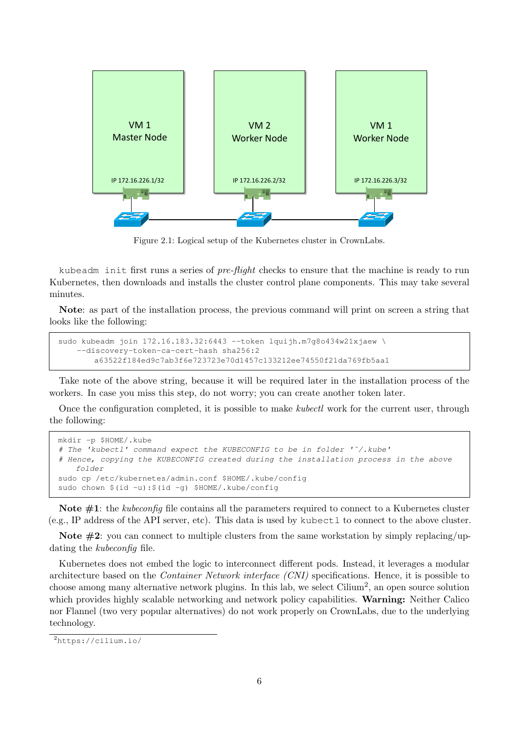<span id="page-5-0"></span>

Figure 2.1: Logical setup of the Kubernetes cluster in CrownLabs.

kubeadm init first runs a series of *pre-flight* checks to ensure that the machine is ready to run Kubernetes, then downloads and installs the cluster control plane components. This may take several minutes.

Note: as part of the installation process, the previous command will print on screen a string that looks like the following:

```
sudo kubeadm join 172.16.183.32:6443 --token lquijh.m7g8o434w21xjaew \
    --discovery-token-ca-cert-hash sha256:2
       a63522f184ed9c7ab3f6e723723e70d1457c133212ee74550f21da769fb5aa1
```
Take note of the above string, because it will be required later in the installation process of the workers. In case you miss this step, do not worry; you can create another token later.

Once the configuration completed, it is possible to make kubectl work for the current user, through the following:

```
mkdir -p $HOME/.kube
# The 'kubectl' command expect the KUBECONFIG to be in folder '˜/.kube'
# Hence, copying the KUBECONFIG created during the installation process in the above
    folder
sudo cp /etc/kubernetes/admin.conf $HOME/.kube/config
sudo chown $(id -u):$(id -g) $HOME/.kube/config
```
Note  $\#1$ : the *kubeconfig* file contains all the parameters required to connect to a Kubernetes cluster (e.g., IP address of the API server, etc). This data is used by kubectl to connect to the above cluster.

Note  $\#2$ : you can connect to multiple clusters from the same workstation by simply replacing/updating the *kubeconfig* file.

Kubernetes does not embed the logic to interconnect different pods. Instead, it leverages a modular architecture based on the Container Network interface (CNI) specifications. Hence, it is possible to choose among many alternative network plugins. In this lab, we select Cilium<sup>[2](#page-5-1)</sup>, an open source solution which provides highly scalable networking and network policy capabilities. Warning: Neither Calico nor Flannel (two very popular alternatives) do not work properly on CrownLabs, due to the underlying technology.

<span id="page-5-1"></span><sup>2</sup><https://cilium.io/>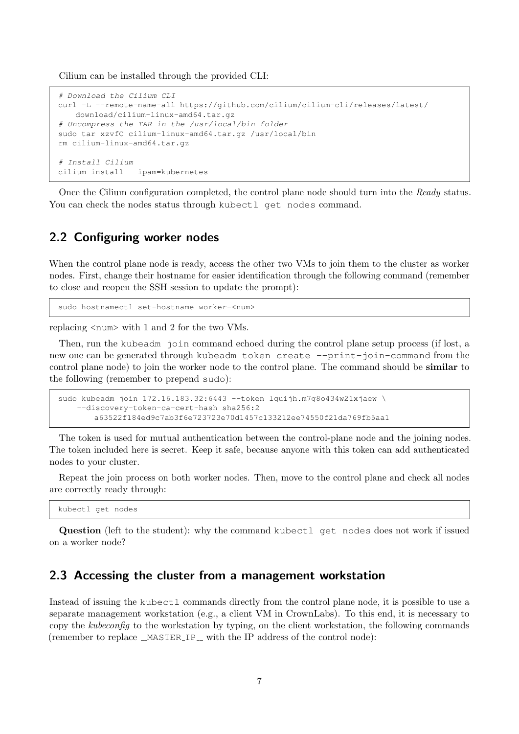Cilium can be installed through the provided CLI:

```
# Download the Cilium CLI
curl -L --remote-name-all https://github.com/cilium/cilium-cli/releases/latest/
   download/cilium-linux-amd64.tar.gz
# Uncompress the TAR in the /usr/local/bin folder
sudo tar xzvfC cilium-linux-amd64.tar.gz /usr/local/bin
rm cilium-linux-amd64.tar.gz
# Install Cilium
cilium install --ipam=kubernetes
```
Once the Cilium configuration completed, the control plane node should turn into the Ready status. You can check the nodes status through kubectl get nodes command.

### <span id="page-6-0"></span>2.2 Configuring worker nodes

When the control plane node is ready, access the other two VMs to join them to the cluster as worker nodes. First, change their hostname for easier identification through the following command (remember to close and reopen the SSH session to update the prompt):

sudo hostnamectl set-hostname worker-<num>

replacing  $\langle$  num $\rangle$  with 1 and 2 for the two VMs.

Then, run the kubeadm join command echoed during the control plane setup process (if lost, a new one can be generated through kubeadm token create --print-join-command from the control plane node) to join the worker node to the control plane. The command should be similar to the following (remember to prepend sudo):

```
sudo kubeadm join 172.16.183.32:6443 --token lquijh.m7q8o434w21xjaew \
   --discovery-token-ca-cert-hash sha256:2
       a63522f184ed9c7ab3f6e723723e70d1457c133212ee74550f21da769fb5aa1
```
The token is used for mutual authentication between the control-plane node and the joining nodes. The token included here is secret. Keep it safe, because anyone with this token can add authenticated nodes to your cluster.

Repeat the join process on both worker nodes. Then, move to the control plane and check all nodes are correctly ready through:

kubectl get nodes

Question (left to the student): why the command kubectl get nodes does not work if issued on a worker node?

### <span id="page-6-1"></span>2.3 Accessing the cluster from a management workstation

Instead of issuing the kubectl commands directly from the control plane node, it is possible to use a separate management workstation (e.g., a client VM in CrownLabs). To this end, it is necessary to copy the kubeconfig to the workstation by typing, on the client workstation, the following commands (remember to replace  $\text{\textendash}$  MASTER IP with the IP address of the control node):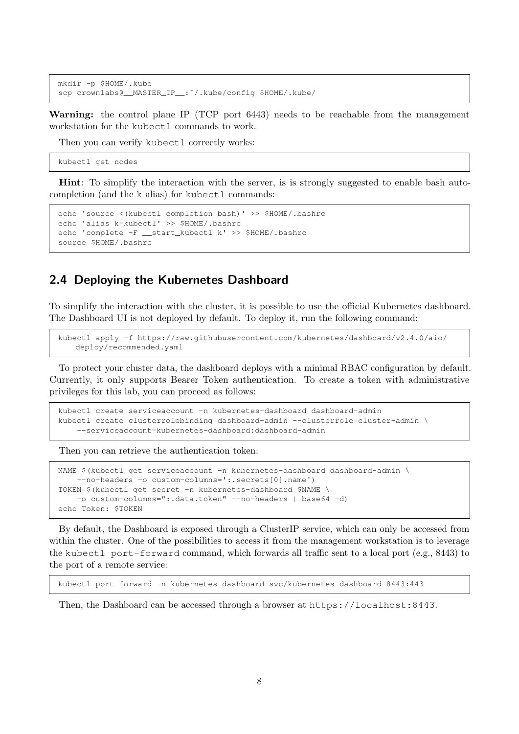```
mkdir -p $HOME/.kube
scp crownlabs@__MASTER_IP__:˜/.kube/config $HOME/.kube/
```
Warning: the control plane IP (TCP port 6443) needs to be reachable from the management workstation for the kubectl commands to work.

Then you can verify kubectl correctly works:

kubectl get nodes

Hint: To simplify the interaction with the server, is is strongly suggested to enable bash autocompletion (and the k alias) for kubectl commands:

```
echo 'source <(kubectl completion bash)' >> $HOME/.bashrc
echo 'alias k=kubectl' >> $HOME/.bashrc
echo 'complete -F __start_kubectl k' >> $HOME/.bashrc
source $HOME/.bashrc
```
### <span id="page-7-0"></span>2.4 Deploying the Kubernetes Dashboard

To simplify the interaction with the cluster, it is possible to use the official Kubernetes dashboard. The Dashboard UI is not deployed by default. To deploy it, run the following command:

kubectl apply -f https://raw.githubusercontent.com/kubernetes/dashboard/v2.4.0/aio/ deploy/recommended.yaml

To protect your cluster data, the dashboard deploys with a minimal RBAC configuration by default. Currently, it only supports Bearer Token authentication. To create a token with administrative privileges for this lab, you can proceed as follows:

```
kubectl create serviceaccount -n kubernetes-dashboard dashboard-admin
kubectl create clusterrolebinding dashboard-admin --clusterrole=cluster-admin \
    --serviceaccount=kubernetes-dashboard:dashboard-admin
```
Then you can retrieve the authentication token:

```
NAME=$(kubectl get serviceaccount -n kubernetes-dashboard dashboard-admin \
    --no-headers -o custom-columns=':.secrets[0].name')
TOKEN=$(kubectl get secret -n kubernetes-dashboard $NAME \
    -o custom-columns=":.data.token" --no-headers | base64 -d)
echo Token: $TOKEN
```
By default, the Dashboard is exposed through a ClusterIP service, which can only be accessed from within the cluster. One of the possibilities to access it from the management workstation is to leverage the kubectl port-forward command, which forwards all traffic sent to a local port (e.g., 8443) to the port of a remote service:

kubectl port-forward -n kubernetes-dashboard svc/kubernetes-dashboard 8443:443

Then, the Dashboard can be accessed through a browser at <https://localhost:8443>.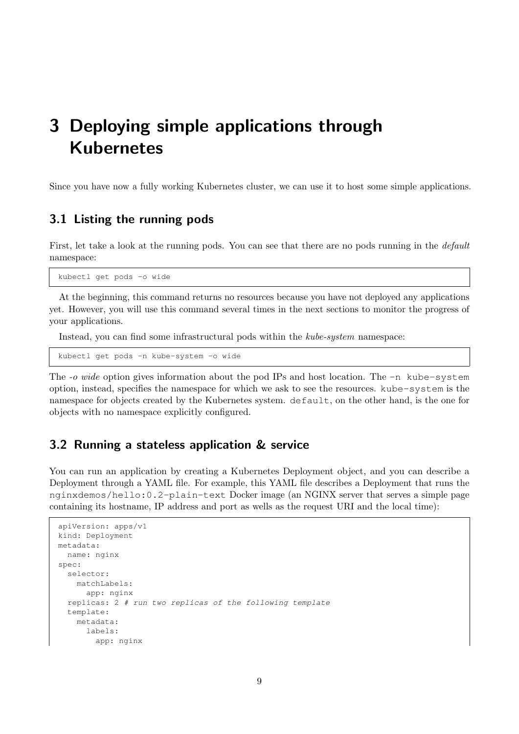# <span id="page-8-0"></span>3 Deploying simple applications through Kubernetes

Since you have now a fully working Kubernetes cluster, we can use it to host some simple applications.

### <span id="page-8-1"></span>3.1 Listing the running pods

First, let take a look at the running pods. You can see that there are no pods running in the *default* namespace:

kubectl get pods -o wide

At the beginning, this command returns no resources because you have not deployed any applications yet. However, you will use this command several times in the next sections to monitor the progress of your applications.

Instead, you can find some infrastructural pods within the kube-system namespace:

kubectl get pods -n kube-system -o wide

The  $-o$  wide option gives information about the pod IPs and host location. The  $-n$  kube-system option, instead, specifies the namespace for which we ask to see the resources. kube-system is the namespace for objects created by the Kubernetes system. default, on the other hand, is the one for objects with no namespace explicitly configured.

## <span id="page-8-2"></span>3.2 Running a stateless application & service

You can run an application by creating a Kubernetes Deployment object, and you can describe a Deployment through a YAML file. For example, this YAML file describes a Deployment that runs the nginxdemos/hello:0.2-plain-text Docker image (an NGINX server that serves a simple page containing its hostname, IP address and port as wells as the request URI and the local time):

```
apiVersion: apps/v1
kind: Deployment
metadata:
 name: nginx
spec:
  selector:
   matchLabels:
      app: nginx
  replicas: 2 # run two replicas of the following template
  template:
    metadata:
      labels:
        app: nginx
```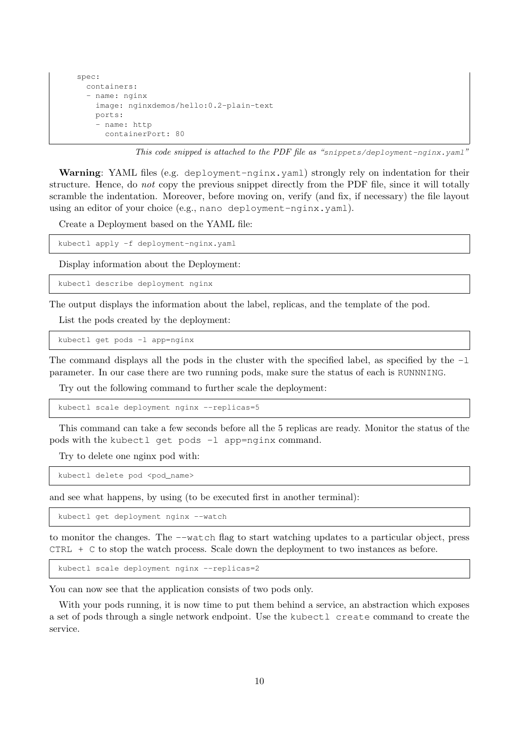```
spec:
 containers:
  - name: nginx
    image: nginxdemos/hello:0.2-plain-text
    ports:
     name: http
      containerPort: 80
```
This code snipped is attached to the PDF file as "snippets/deployment-nginx.yaml"

Warning: YAML files (e.g. deployment-nginx.yaml) strongly rely on indentation for their structure. Hence, do not copy the previous snippet directly from the PDF file, since it will totally scramble the indentation. Moreover, before moving on, verify (and fix, if necessary) the file layout using an editor of your choice (e.g., nano deployment-nginx.yaml).

Create a Deployment based on the YAML file:

kubectl apply -f deployment-nginx.yaml

Display information about the Deployment:

kubectl describe deployment nginx

The output displays the information about the label, replicas, and the template of the pod.

List the pods created by the deployment:

kubectl get pods -l app=nginx

The command displays all the pods in the cluster with the specified label, as specified by the  $-1$ parameter. In our case there are two running pods, make sure the status of each is RUNNNING.

Try out the following command to further scale the deployment:

kubectl scale deployment nginx --replicas=5

This command can take a few seconds before all the 5 replicas are ready. Monitor the status of the pods with the kubectl get pods -l app=nginx command.

Try to delete one nginx pod with:

kubectl delete pod <pod\_name>

and see what happens, by using (to be executed first in another terminal):

kubectl get deployment nginx --watch

to monitor the changes. The --watch flag to start watching updates to a particular object, press CTRL + C to stop the watch process. Scale down the deployment to two instances as before.

kubectl scale deployment nginx --replicas=2

You can now see that the application consists of two pods only.

With your pods running, it is now time to put them behind a service, an abstraction which exposes a set of pods through a single network endpoint. Use the kubectl create command to create the service.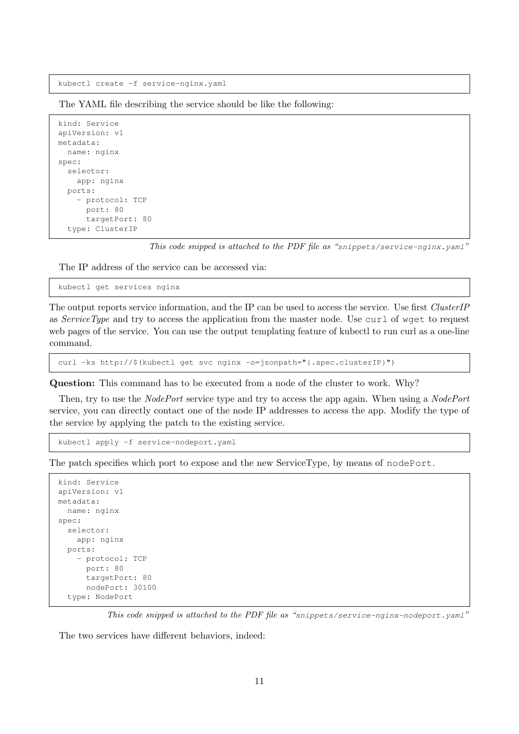kubectl create -f service-nginx.yaml

The YAML file describing the service should be like the following:

```
kind: Service
apiVersion: v1
metadata:
  name: nginx
spec:
  selector:
   app: nginx
  ports:
    - protocol: TCP
      port: 80
      targetPort: 80
  type: ClusterIP
```
This code snipped is attached to the PDF file as "snippets/service-nginx.yaml"

The IP address of the service can be accessed via:

```
kubectl get services nginx
```
The output reports service information, and the IP can be used to access the service. Use first ClusterIP as ServiceType and try to access the application from the master node. Use curl of wget to request web pages of the service. You can use the output templating feature of kubectl to run curl as a one-line command.

curl -ks http://\$(kubectl get svc nginx -o=jsonpath="{.spec.clusterIP}")

Question: This command has to be executed from a node of the cluster to work. Why?

Then, try to use the *NodePort* service type and try to access the app again. When using a *NodePort* service, you can directly contact one of the node IP addresses to access the app. Modify the type of the service by applying the patch to the existing service.

```
kubectl apply -f service-nodeport.yaml
```
The patch specifies which port to expose and the new ServiceType, by means of nodePort.

```
kind: Service
apiVersion: v1
metadata:
 name: nginx
spec:
  selector:
   app: nginx
  ports:
    - protocol: TCP
      port: 80
      targetPort: 80
      nodePort: 30100
  type: NodePort
```
This code snipped is attached to the PDF file as "snippets/service-nginx-nodeport.yaml"

The two services have different behaviors, indeed: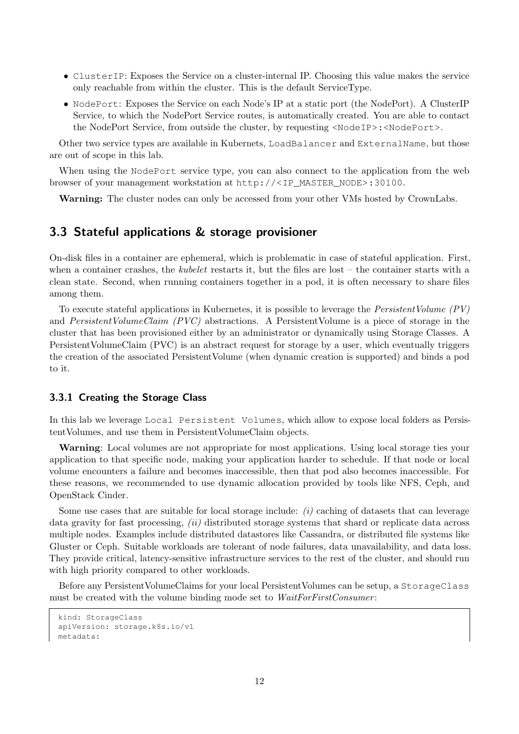- ClusterIP: Exposes the Service on a cluster-internal IP. Choosing this value makes the service only reachable from within the cluster. This is the default ServiceType.
- NodePort: Exposes the Service on each Node's IP at a static port (the NodePort). A ClusterIP Service, to which the NodePort Service routes, is automatically created. You are able to contact the NodePort Service, from outside the cluster, by requesting <NodeIP>:<NodePort>.

Other two service types are available in Kubernets, LoadBalancer and ExternalName, but those are out of scope in this lab.

When using the NodePort service type, you can also connect to the application from the web browser of your management workstation at [http://<IP\\_MASTER\\_NODE>:30100](http://<IP_MASTER_NODE>:30100).

Warning: The cluster nodes can only be accessed from your other VMs hosted by CrownLabs.

### <span id="page-11-0"></span>3.3 Stateful applications & storage provisioner

On-disk files in a container are ephemeral, which is problematic in case of stateful application. First, when a container crashes, the *kubelet* restarts it, but the files are lost – the container starts with a clean state. Second, when running containers together in a pod, it is often necessary to share files among them.

To execute stateful applications in Kubernetes, it is possible to leverage the *PersistentVolume (PV)* and PersistentVolumeClaim (PVC) abstractions. A PersistentVolume is a piece of storage in the cluster that has been provisioned either by an administrator or dynamically using Storage Classes. A PersistentVolumeClaim (PVC) is an abstract request for storage by a user, which eventually triggers the creation of the associated PersistentVolume (when dynamic creation is supported) and binds a pod to it.

#### <span id="page-11-1"></span>3.3.1 Creating the Storage Class

In this lab we leverage Local Persistent Volumes, which allow to expose local folders as PersistentVolumes, and use them in PersistentVolumeClaim objects.

Warning: Local volumes are not appropriate for most applications. Using local storage ties your application to that specific node, making your application harder to schedule. If that node or local volume encounters a failure and becomes inaccessible, then that pod also becomes inaccessible. For these reasons, we recommended to use dynamic allocation provided by tools like NFS, Ceph, and OpenStack Cinder.

Some use cases that are suitable for local storage include: (i) caching of datasets that can leverage data gravity for fast processing, *(ii)* distributed storage systems that shard or replicate data across multiple nodes. Examples include distributed datastores like Cassandra, or distributed file systems like Gluster or Ceph. Suitable workloads are tolerant of node failures, data unavailability, and data loss. They provide critical, latency-sensitive infrastructure services to the rest of the cluster, and should run with high priority compared to other workloads.

Before any PersistentVolumeClaims for your local PersistentVolumes can be setup, a StorageClass must be created with the volume binding mode set to *WaitForFirstConsumer*:

```
kind: StorageClass
apiVersion: storage.k8s.io/v1
metadata:
```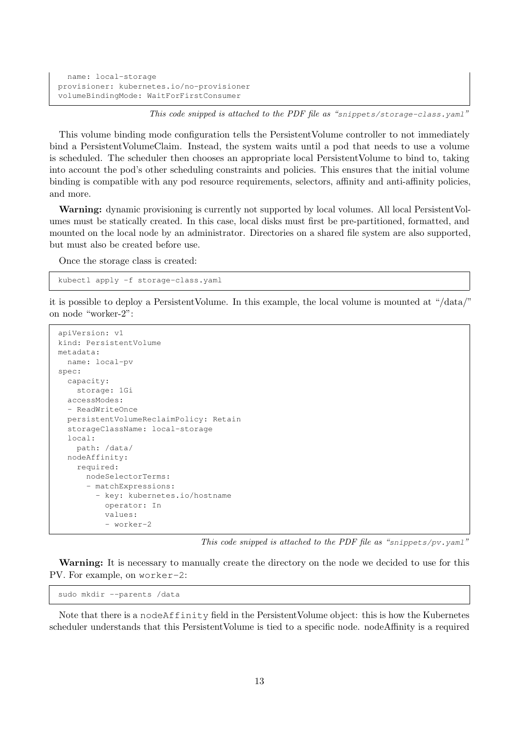```
name: local-storage
provisioner: kubernetes.io/no-provisioner
volumeBindingMode: WaitForFirstConsumer
```
This code snipped is attached to the PDF file as "snippets/storage-class.yaml"

This volume binding mode configuration tells the PersistentVolume controller to not immediately bind a PersistentVolumeClaim. Instead, the system waits until a pod that needs to use a volume is scheduled. The scheduler then chooses an appropriate local PersistentVolume to bind to, taking into account the pod's other scheduling constraints and policies. This ensures that the initial volume binding is compatible with any pod resource requirements, selectors, affinity and anti-affinity policies, and more.

Warning: dynamic provisioning is currently not supported by local volumes. All local PersistentVolumes must be statically created. In this case, local disks must first be pre-partitioned, formatted, and mounted on the local node by an administrator. Directories on a shared file system are also supported, but must also be created before use.

Once the storage class is created:

kubectl apply -f storage-class.yaml

it is possible to deploy a PersistentVolume. In this example, the local volume is mounted at "/data/" on node "worker-2":

```
apiVersion: v1
kind: PersistentVolume
metadata:
  name: local-pv
spec:
  capacity:
    storage: 1Gi
  accessModes:
  - ReadWriteOnce
  persistentVolumeReclaimPolicy: Retain
  storageClassName: local-storage
  local:
    path: /data/
  nodeAffinity:
    required:
      nodeSelectorTerms:
      - matchExpressions:
        - key: kubernetes.io/hostname
          operator: In
          values:
          - worker-2
```
This code snipped is attached to the PDF file as "snippets/pv.yaml"

Warning: It is necessary to manually create the directory on the node we decided to use for this PV. For example, on worker-2:

sudo mkdir --parents /data

Note that there is a nodeAffinity field in the PersistentVolume object: this is how the Kubernetes scheduler understands that this PersistentVolume is tied to a specific node. nodeAffinity is a required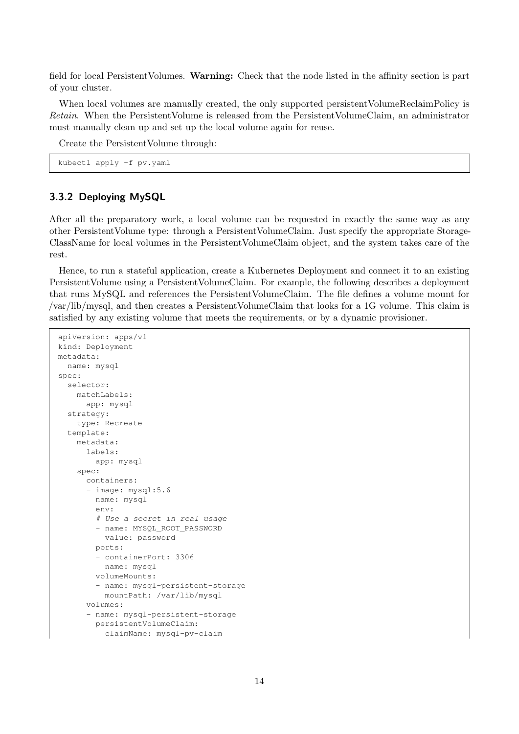field for local PersistentVolumes. Warning: Check that the node listed in the affinity section is part of your cluster.

When local volumes are manually created, the only supported persistent VolumeReclaimPolicy is Retain. When the PersistentVolume is released from the PersistentVolumeClaim, an administrator must manually clean up and set up the local volume again for reuse.

Create the PersistentVolume through:

kubectl apply -f pv.yaml

### <span id="page-13-0"></span>3.3.2 Deploying MySQL

After all the preparatory work, a local volume can be requested in exactly the same way as any other PersistentVolume type: through a PersistentVolumeClaim. Just specify the appropriate Storage-ClassName for local volumes in the PersistentVolumeClaim object, and the system takes care of the rest.

Hence, to run a stateful application, create a Kubernetes Deployment and connect it to an existing PersistentVolume using a PersistentVolumeClaim. For example, the following describes a deployment that runs MySQL and references the PersistentVolumeClaim. The file defines a volume mount for /var/lib/mysql, and then creates a PersistentVolumeClaim that looks for a 1G volume. This claim is satisfied by any existing volume that meets the requirements, or by a dynamic provisioner.

```
apiVersion: apps/v1
kind: Deployment
metadata:
 name: mysql
spec:
  selector:
   matchLabels:
     app: mysql
  strategy:
    type: Recreate
  template:
    metadata:
     labels:
        app: mysql
    spec:
      containers:
      - image: mysql:5.6
        name: mysql
        env:
        # Use a secret in real usage
        - name: MYSQL_ROOT_PASSWORD
          value: password
        ports:
         - containerPort: 3306
          name: mysql
        volumeMounts:
        - name: mysql-persistent-storage
         mountPath: /var/lib/mysql
      volumes:
      - name: mysql-persistent-storage
        persistentVolumeClaim:
          claimName: mysql-pv-claim
```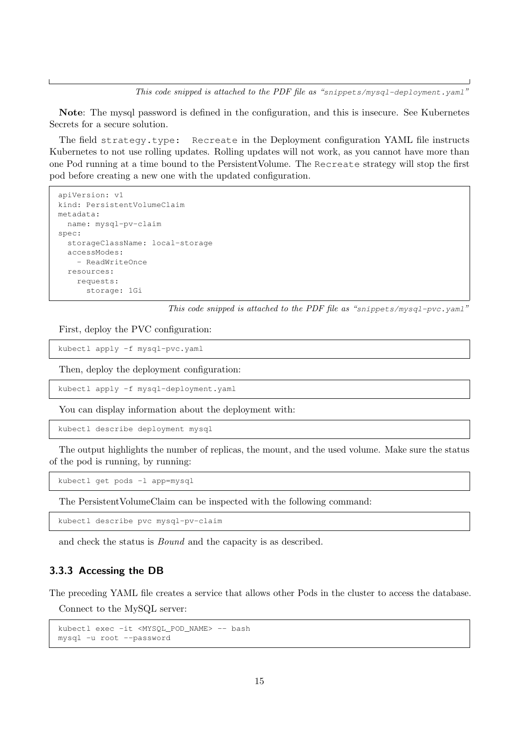This code snipped is attached to the PDF file as "snippets/mysql-deployment.yaml"

Note: The mysql password is defined in the configuration, and this is insecure. See Kubernetes Secrets for a secure solution.

The field strategy.type: Recreate in the Deployment configuration YAML file instructs Kubernetes to not use rolling updates. Rolling updates will not work, as you cannot have more than one Pod running at a time bound to the PersistentVolume. The Recreate strategy will stop the first pod before creating a new one with the updated configuration.

```
apiVersion: v1
kind: PersistentVolumeClaim
metadata:
 name: mysql-pv-claim
spec:
  storageClassName: local-storage
  accessModes:
    - ReadWriteOnce
  resources:
    requests:
      storage: 1Gi
```
This code snipped is attached to the PDF file as "snippets/mysql-pvc.yaml"

First, deploy the PVC configuration:

kubectl apply -f mysql-pvc.yaml

Then, deploy the deployment configuration:

kubectl apply -f mysql-deployment.yaml

You can display information about the deployment with:

kubectl describe deployment mysql

The output highlights the number of replicas, the mount, and the used volume. Make sure the status of the pod is running, by running:

kubectl get pods -l app=mysql

The PersistentVolumeClaim can be inspected with the following command:

kubectl describe pvc mysql-pv-claim

and check the status is Bound and the capacity is as described.

### <span id="page-14-0"></span>3.3.3 Accessing the DB

The preceding YAML file creates a service that allows other Pods in the cluster to access the database.

Connect to the MySQL server:

kubectl exec -it <MYSQL\_POD\_NAME> -- bash mysql -u root --password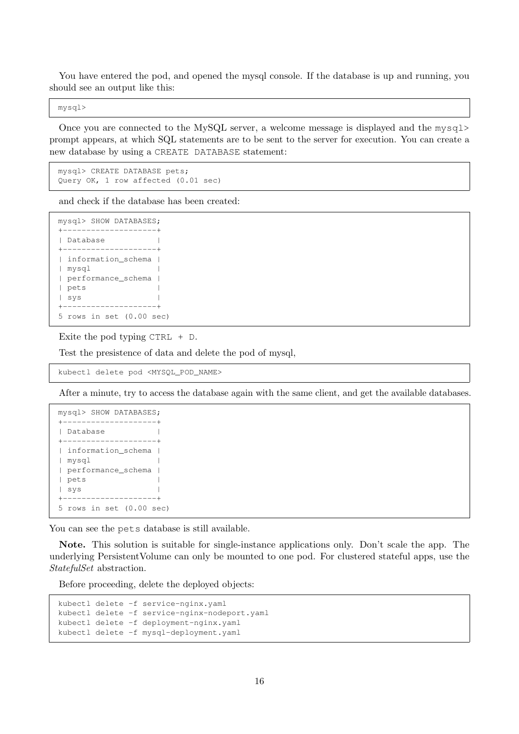You have entered the pod, and opened the mysql console. If the database is up and running, you should see an output like this:

mysql>

Once you are connected to the MySQL server, a welcome message is displayed and the mysql> prompt appears, at which SQL statements are to be sent to the server for execution. You can create a new database by using a CREATE DATABASE statement:

```
mysql> CREATE DATABASE pets;
Query OK, 1 row affected (0.01 sec)
```
and check if the database has been created:

```
mysql> SHOW DATABASES;
+--------------------+
| Database |
+--------------------+
| information_schema |
| mysql |
| performance_schema |
| pets |
| sys |
+--------------------+
5 rows in set (0.00 sec)
```
Exite the pod typing  $CTRL + D$ .

Test the presistence of data and delete the pod of mysql,

kubectl delete pod <MYSQL\_POD\_NAME>

After a minute, try to access the database again with the same client, and get the available databases.

```
mysql> SHOW DATABASES;
+--------------------+
| Database |
+--------------------+
| information_schema |
| mysql |
| performance_schema |
| pets |
| sys |
+--------------------+
5 rows in set (0.00 sec)
```
You can see the pets database is still available.

Note. This solution is suitable for single-instance applications only. Don't scale the app. The underlying PersistentVolume can only be mounted to one pod. For clustered stateful apps, use the StatefulSet abstraction.

Before proceeding, delete the deployed objects:

```
kubectl delete -f service-nginx.yaml
kubectl delete -f service-nginx-nodeport.yaml
kubectl delete -f deployment-nginx.yaml
kubectl delete -f mysql-deployment.yaml
```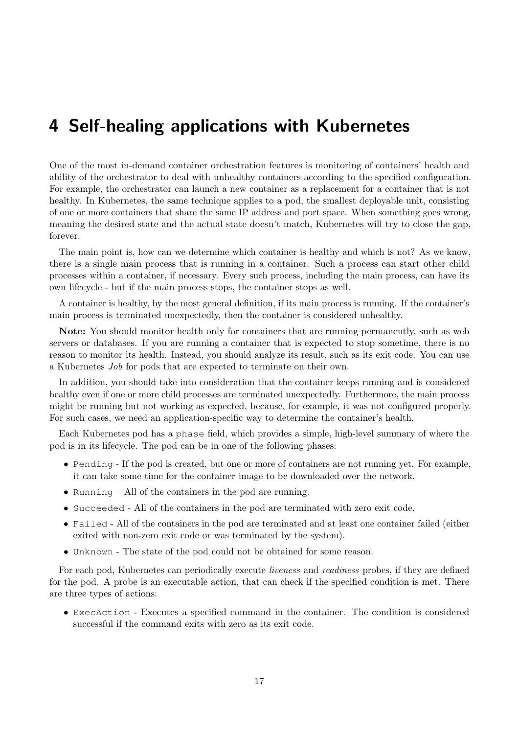# <span id="page-16-0"></span>4 Self-healing applications with Kubernetes

One of the most in-demand container orchestration features is monitoring of containers' health and ability of the orchestrator to deal with unhealthy containers according to the specified configuration. For example, the orchestrator can launch a new container as a replacement for a container that is not healthy. In Kubernetes, the same technique applies to a pod, the smallest deployable unit, consisting of one or more containers that share the same IP address and port space. When something goes wrong, meaning the desired state and the actual state doesn't match, Kubernetes will try to close the gap, forever.

The main point is, how can we determine which container is healthy and which is not? As we know, there is a single main process that is running in a container. Such a process can start other child processes within a container, if necessary. Every such process, including the main process, can have its own lifecycle - but if the main process stops, the container stops as well.

A container is healthy, by the most general definition, if its main process is running. If the container's main process is terminated unexpectedly, then the container is considered unhealthy.

Note: You should monitor health only for containers that are running permanently, such as web servers or databases. If you are running a container that is expected to stop sometime, there is no reason to monitor its health. Instead, you should analyze its result, such as its exit code. You can use a Kubernetes Job for pods that are expected to terminate on their own.

In addition, you should take into consideration that the container keeps running and is considered healthy even if one or more child processes are terminated unexpectedly. Furthermore, the main process might be running but not working as expected, because, for example, it was not configured properly. For such cases, we need an application-specific way to determine the container's health.

Each Kubernetes pod has a phase field, which provides a simple, high-level summary of where the pod is in its lifecycle. The pod can be in one of the following phases:

- Pending If the pod is created, but one or more of containers are not running yet. For example, it can take some time for the container image to be downloaded over the network.
- Running All of the containers in the pod are running.
- Succeeded All of the containers in the pod are terminated with zero exit code.
- Failed All of the containers in the pod are terminated and at least one container failed (either exited with non-zero exit code or was terminated by the system).
- Unknown The state of the pod could not be obtained for some reason.

For each pod, Kubernetes can periodically execute liveness and readiness probes, if they are defined for the pod. A probe is an executable action, that can check if the specified condition is met. There are three types of actions:

• ExecAction - Executes a specified command in the container. The condition is considered successful if the command exits with zero as its exit code.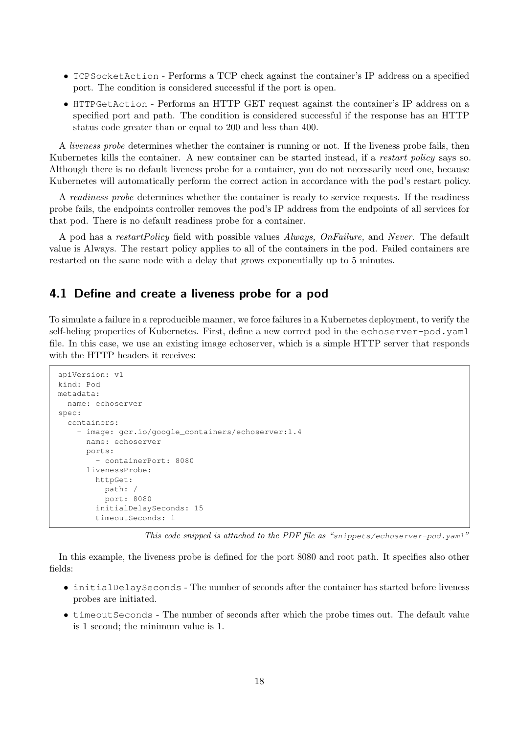- TCPSocketAction Performs a TCP check against the container's IP address on a specified port. The condition is considered successful if the port is open.
- HTTPGetAction Performs an HTTP GET request against the container's IP address on a specified port and path. The condition is considered successful if the response has an HTTP status code greater than or equal to 200 and less than 400.

A liveness probe determines whether the container is running or not. If the liveness probe fails, then Kubernetes kills the container. A new container can be started instead, if a restart policy says so. Although there is no default liveness probe for a container, you do not necessarily need one, because Kubernetes will automatically perform the correct action in accordance with the pod's restart policy.

A readiness probe determines whether the container is ready to service requests. If the readiness probe fails, the endpoints controller removes the pod's IP address from the endpoints of all services for that pod. There is no default readiness probe for a container.

A pod has a restartPolicy field with possible values Always, OnFailure, and Never. The default value is Always. The restart policy applies to all of the containers in the pod. Failed containers are restarted on the same node with a delay that grows exponentially up to 5 minutes.

### <span id="page-17-0"></span>4.1 Define and create a liveness probe for a pod

To simulate a failure in a reproducible manner, we force failures in a Kubernetes deployment, to verify the self-heling properties of Kubernetes. First, define a new correct pod in the echoserver-pod.yaml file. In this case, we use an existing image echoserver, which is a simple HTTP server that responds with the HTTP headers it receives:

```
apiVersion: v1
kind: Pod
metadata:
 name: echoserver
spec:
  containers:
    - image: gcr.io/google_containers/echoserver:1.4
      name: echoserver
      ports:
        - containerPort: 8080
      livenessProbe:
        httpGet:
          path: /
          port: 8080
        initialDelaySeconds: 15
        timeoutSeconds: 1
```
This code snipped is attached to the PDF file as "snippets/echoserver-pod.yaml"

In this example, the liveness probe is defined for the port 8080 and root path. It specifies also other fields:

- initialDelaySeconds The number of seconds after the container has started before liveness probes are initiated.
- timeoutSeconds The number of seconds after which the probe times out. The default value is 1 second; the minimum value is 1.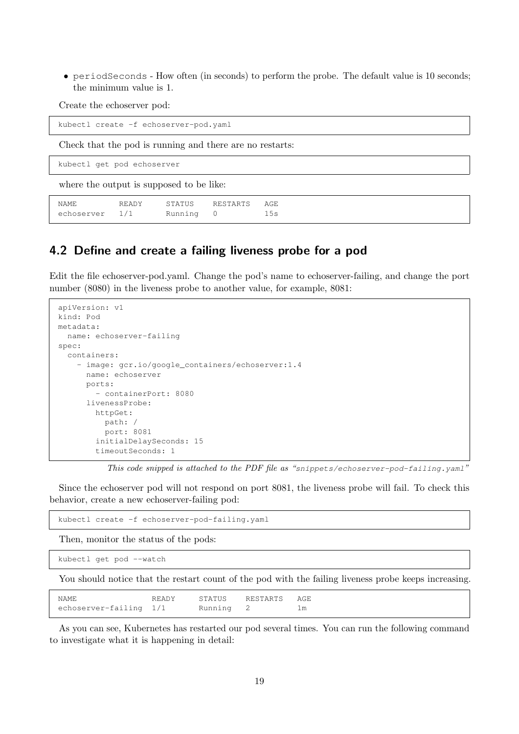• periodSeconds - How often (in seconds) to perform the probe. The default value is 10 seconds; the minimum value is 1.

Create the echoserver pod:

kubectl create -f echoserver-pod.yaml

Check that the pod is running and there are no restarts:

kubectl get pod echoserver

where the output is supposed to be like:

```
NAME READY STATUS RESTARTS AGE
echoserver 1/1 Running 0 15s
```
### <span id="page-18-0"></span>4.2 Define and create a failing liveness probe for a pod

Edit the file echoserver-pod.yaml. Change the pod's name to echoserver-failing, and change the port number (8080) in the liveness probe to another value, for example, 8081:

```
apiVersion: v1
kind: Pod
metadata:
  name: echoserver-failing
spec:
  containers:
    - image: gcr.io/google_containers/echoserver:1.4
     name: echoserver
      ports:
        - containerPort: 8080
      livenessProbe:
        httpGet:
          path: /
          port: 8081
        initialDelaySeconds: 15
        timeoutSeconds: 1
```
This code snipped is attached to the PDF file as "snippets/echoserver-pod-failing.yaml"

Since the echoserver pod will not respond on port 8081, the liveness probe will fail. To check this behavior, create a new echoserver-failing pod:

kubectl create -f echoserver-pod-failing.yaml

Then, monitor the status of the pods:

kubectl get pod --watch

You should notice that the restart count of the pod with the failing liveness probe keeps increasing.

| NAME                             |  | READY STATUS RESTARTS AGE |  |
|----------------------------------|--|---------------------------|--|
| echoserver-failing 1/1 Running 2 |  |                           |  |

As you can see, Kubernetes has restarted our pod several times. You can run the following command to investigate what it is happening in detail: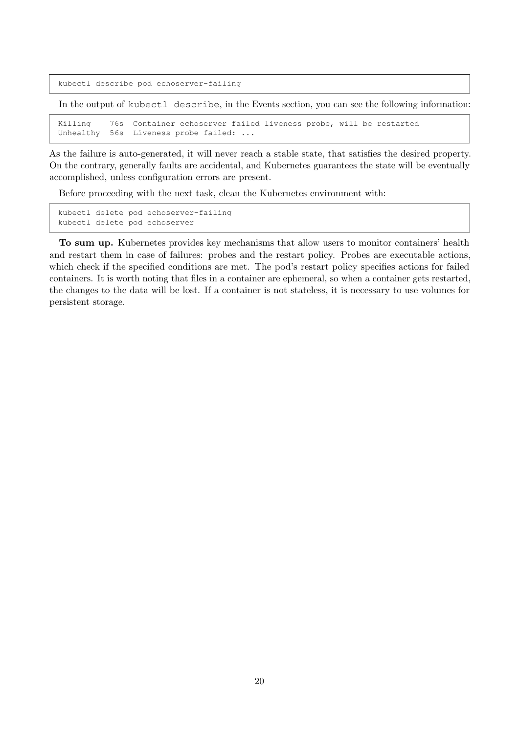kubectl describe pod echoserver-failing

In the output of kubectl describe, in the Events section, you can see the following information:

Killing 76s Container echoserver failed liveness probe, will be restarted Unhealthy 56s Liveness probe failed: ...

As the failure is auto-generated, it will never reach a stable state, that satisfies the desired property. On the contrary, generally faults are accidental, and Kubernetes guarantees the state will be eventually accomplished, unless configuration errors are present.

Before proceeding with the next task, clean the Kubernetes environment with:

kubectl delete pod echoserver-failing kubectl delete pod echoserver

To sum up. Kubernetes provides key mechanisms that allow users to monitor containers' health and restart them in case of failures: probes and the restart policy. Probes are executable actions, which check if the specified conditions are met. The pod's restart policy specifies actions for failed containers. It is worth noting that files in a container are ephemeral, so when a container gets restarted, the changes to the data will be lost. If a container is not stateless, it is necessary to use volumes for persistent storage.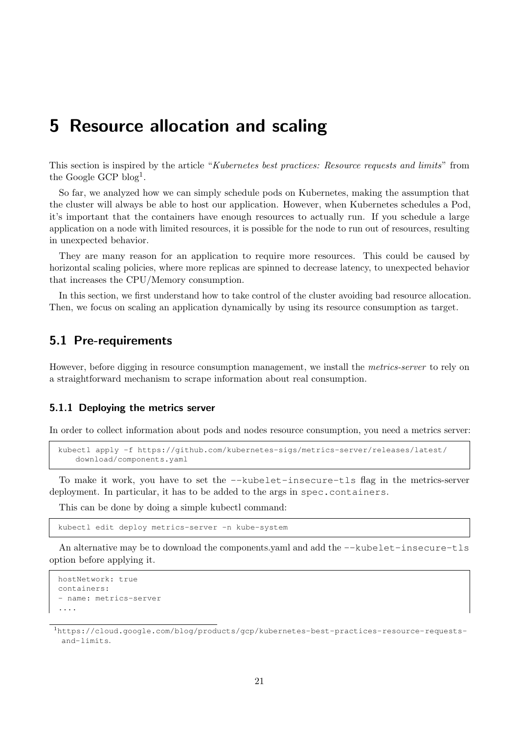# <span id="page-20-0"></span>5 Resource allocation and scaling

This section is inspired by the article "Kubernetes best practices: Resource requests and limits" from the Google GCP blog<sup>[1](#page-20-3)</sup>.

So far, we analyzed how we can simply schedule pods on Kubernetes, making the assumption that the cluster will always be able to host our application. However, when Kubernetes schedules a Pod, it's important that the containers have enough resources to actually run. If you schedule a large application on a node with limited resources, it is possible for the node to run out of resources, resulting in unexpected behavior.

They are many reason for an application to require more resources. This could be caused by horizontal scaling policies, where more replicas are spinned to decrease latency, to unexpected behavior that increases the CPU/Memory consumption.

In this section, we first understand how to take control of the cluster avoiding bad resource allocation. Then, we focus on scaling an application dynamically by using its resource consumption as target.

### <span id="page-20-1"></span>5.1 Pre-requirements

However, before digging in resource consumption management, we install the metrics-server to rely on a straightforward mechanism to scrape information about real consumption.

#### <span id="page-20-2"></span>5.1.1 Deploying the metrics server

In order to collect information about pods and nodes resource consumption, you need a metrics server:

```
kubectl apply -f https://github.com/kubernetes-sigs/metrics-server/releases/latest/
   download/components.yaml
```
To make it work, you have to set the --kubelet-insecure-tls flag in the metrics-server deployment. In particular, it has to be added to the args in spec.containers.

This can be done by doing a simple kubectl command:

kubectl edit deploy metrics-server -n kube-system

An alternative may be to download the components.yaml and add the --kubelet-insecure-tls option before applying it.

```
hostNetwork: true
containers:
- name: metrics-server
....
```
<span id="page-20-3"></span><sup>1</sup>[https://cloud.google.com/blog/products/gcp/kubernetes-best-practices-resource-requests](https://cloud.google.com/blog/products/gcp/kubernetes-best-practices-resource-requests-and-limits)[and-limits](https://cloud.google.com/blog/products/gcp/kubernetes-best-practices-resource-requests-and-limits).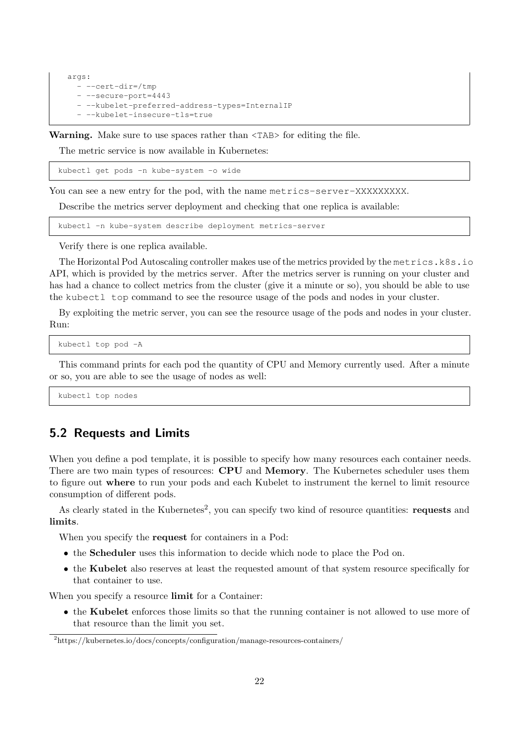```
args:
 - --cert-dir=/tmp
  - --secure-port=4443
  - --kubelet-preferred-address-types=InternalIP
  - --kubelet-insecure-tls=true
```
Warning. Make sure to use spaces rather than  $\langle \text{TABLE}\rangle$  for editing the file.

The metric service is now available in Kubernetes:

kubectl get pods -n kube-system -o wide

You can see a new entry for the pod, with the name metrics-server-XXXXXXXXX.

Describe the metrics server deployment and checking that one replica is available:

kubectl -n kube-system describe deployment metrics-server

Verify there is one replica available.

The Horizontal Pod Autoscaling controller makes use of the metrics provided by the metrics.k8s.io API, which is provided by the metrics server. After the metrics server is running on your cluster and has had a chance to collect metrics from the cluster (give it a minute or so), you should be able to use the kubectl top command to see the resource usage of the pods and nodes in your cluster.

By exploiting the metric server, you can see the resource usage of the pods and nodes in your cluster. Run:

kubectl top pod -A

This command prints for each pod the quantity of CPU and Memory currently used. After a minute or so, you are able to see the usage of nodes as well:

kubectl top nodes

### <span id="page-21-0"></span>5.2 Requests and Limits

When you define a pod template, it is possible to specify how many resources each container needs. There are two main types of resources: **CPU** and **Memory**. The Kubernetes scheduler uses them to figure out where to run your pods and each Kubelet to instrument the kernel to limit resource consumption of different pods.

As clearly stated in the Kubernetes<sup>[2](#page-21-1)</sup>, you can specify two kind of resource quantities: requests and limits.

When you specify the request for containers in a Pod:

- the Scheduler uses this information to decide which node to place the Pod on.
- the Kubelet also reserves at least the requested amount of that system resource specifically for that container to use.

When you specify a resource **limit** for a Container:

• the Kubelet enforces those limits so that the running container is not allowed to use more of that resource than the limit you set.

<span id="page-21-1"></span><sup>2</sup>https://kubernetes.io/docs/concepts/configuration/manage-resources-containers/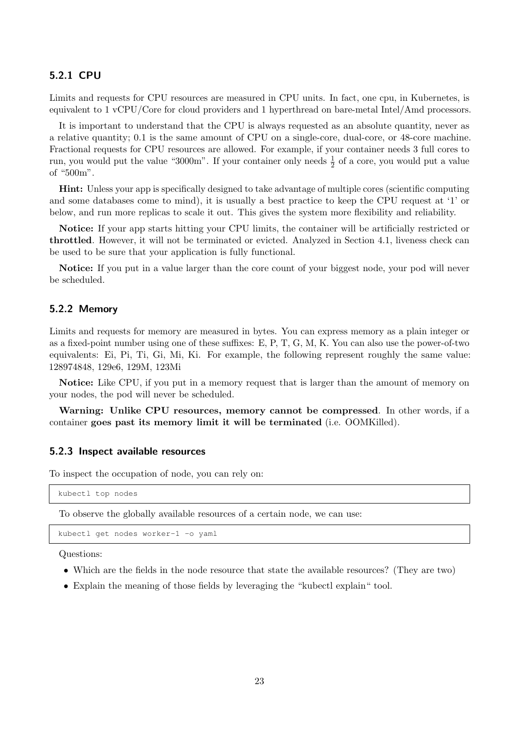### <span id="page-22-0"></span>5.2.1 CPU

Limits and requests for CPU resources are measured in CPU units. In fact, one cpu, in Kubernetes, is equivalent to 1 vCPU/Core for cloud providers and 1 hyperthread on bare-metal Intel/Amd processors.

It is important to understand that the CPU is always requested as an absolute quantity, never as a relative quantity; 0.1 is the same amount of CPU on a single-core, dual-core, or 48-core machine. Fractional requests for CPU resources are allowed. For example, if your container needs 3 full cores to run, you would put the value "3000m". If your container only needs  $\frac{1}{2}$  of a core, you would put a value of "500m".

Hint: Unless your app is specifically designed to take advantage of multiple cores (scientific computing and some databases come to mind), it is usually a best practice to keep the CPU request at '1' or below, and run more replicas to scale it out. This gives the system more flexibility and reliability.

Notice: If your app starts hitting your CPU limits, the container will be artificially restricted or throttled. However, it will not be terminated or evicted. Analyzed in [Section 4.1,](#page-17-0) liveness check can be used to be sure that your application is fully functional.

Notice: If you put in a value larger than the core count of your biggest node, your pod will never be scheduled.

### <span id="page-22-1"></span>5.2.2 Memory

Limits and requests for memory are measured in bytes. You can express memory as a plain integer or as a fixed-point number using one of these suffixes: E, P, T, G, M, K. You can also use the power-of-two equivalents: Ei, Pi, Ti, Gi, Mi, Ki. For example, the following represent roughly the same value: 128974848, 129e6, 129M, 123Mi

Notice: Like CPU, if you put in a memory request that is larger than the amount of memory on your nodes, the pod will never be scheduled.

Warning: Unlike CPU resources, memory cannot be compressed. In other words, if a container goes past its memory limit it will be terminated (i.e. OOMKilled).

#### <span id="page-22-2"></span>5.2.3 Inspect available resources

To inspect the occupation of node, you can rely on:

```
kubectl top nodes
```
To observe the globally available resources of a certain node, we can use:

kubectl get nodes worker-1 -o yaml

Questions:

- Which are the fields in the node resource that state the available resources? (They are two)
- Explain the meaning of those fields by leveraging the "kubectl explain" tool.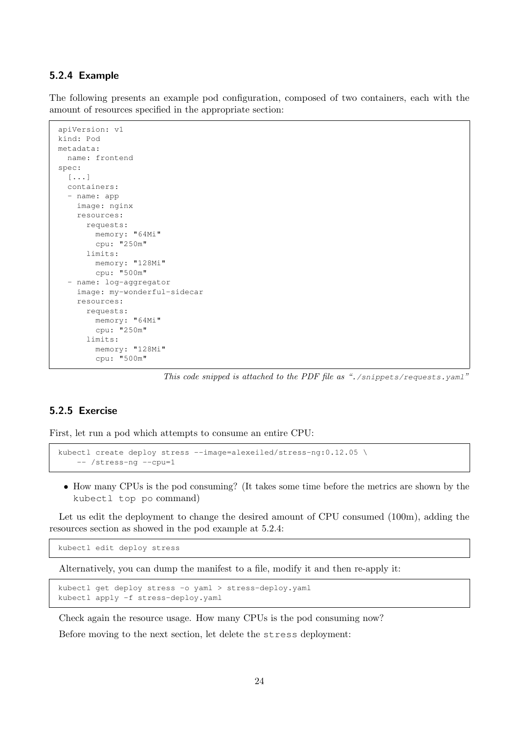### <span id="page-23-0"></span>5.2.4 Example

The following presents an example pod configuration, composed of two containers, each with the amount of resources specified in the appropriate section:

```
apiVersion: v1
kind: Pod
metadata:
 name: frontend
spec:
  [...]
  containers:
  - name: app
    image: nginx
    resources:
     requests:
        memory: "64Mi"
        cpu: "250m"
      limits:
        memory: "128Mi"
        cpu: "500m"
  - name: log-aggregator
    image: my-wonderful-sidecar
    resources:
      requests:
       memory: "64Mi"
       cpu: "250m"
      limits:
        memory: "128Mi"
        cpu: "500m"
```
This code snipped is attached to the PDF file as "./snippets/requests.yaml"

### <span id="page-23-1"></span>5.2.5 Exercise

First, let run a pod which attempts to consume an entire CPU:

```
kubectl create deploy stress --image=alexeiled/stress-ng:0.12.05 \
    -- /stress-ng --cpu=1
```
• How many CPUs is the pod consuming? (It takes some time before the metrics are shown by the kubectl top po command)

Let us edit the deployment to change the desired amount of CPU consumed (100m), adding the resources section as showed in the pod example at [5.2.4:](#page-23-0)

kubectl edit deploy stress

Alternatively, you can dump the manifest to a file, modify it and then re-apply it:

```
kubectl get deploy stress -o yaml > stress-deploy.yaml
kubectl apply -f stress-deploy.yaml
```
Check again the resource usage. How many CPUs is the pod consuming now?

Before moving to the next section, let delete the stress deployment: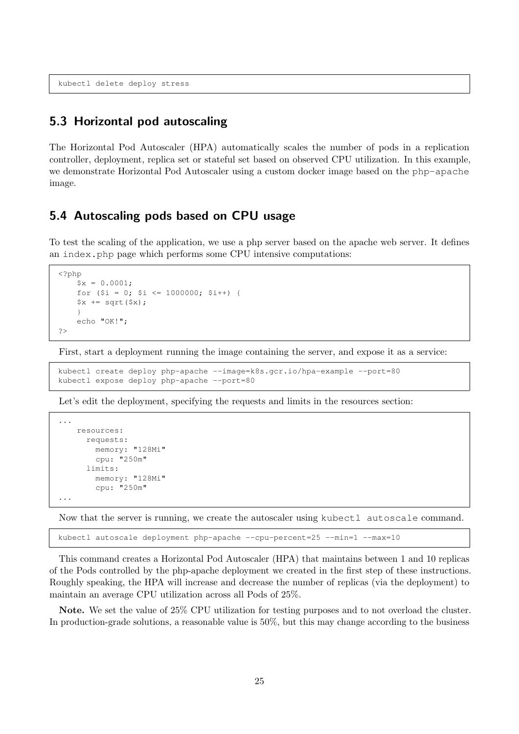kubectl delete deploy stress

### <span id="page-24-0"></span>5.3 Horizontal pod autoscaling

The Horizontal Pod Autoscaler (HPA) automatically scales the number of pods in a replication controller, deployment, replica set or stateful set based on observed CPU utilization. In this example, we demonstrate Horizontal Pod Autoscaler using a custom docker image based on the php-apache image.

## <span id="page-24-1"></span>5.4 Autoscaling pods based on CPU usage

To test the scaling of the application, we use a php server based on the apache web server. It defines an index.php page which performs some CPU intensive computations:

```
<?php
     $x = 0.0001;for (\frac{5i}{1} = 0; \frac{5i}{1000000}; \frac{5i}{1}+) {
     $x \leftarrow \sqrt{sqrt(3x)};}
     echo "OK!";
?>
```
First, start a deployment running the image containing the server, and expose it as a service:

```
kubectl create deploy php-apache --image=k8s.gcr.io/hpa-example --port=80
kubectl expose deploy php-apache --port=80
```
Let's edit the deployment, specifying the requests and limits in the resources section:

```
...
   resources:
      requests:
        memory: "128Mi"
        cpu: "250m"
      limits:
        memory: "128Mi"
        cpu: "250m"
...
```
Now that the server is running, we create the autoscaler using kubectl autoscale command.

kubectl autoscale deployment php-apache --cpu-percent=25 --min=1 --max=10

This command creates a Horizontal Pod Autoscaler (HPA) that maintains between 1 and 10 replicas of the Pods controlled by the php-apache deployment we created in the first step of these instructions. Roughly speaking, the HPA will increase and decrease the number of replicas (via the deployment) to maintain an average CPU utilization across all Pods of 25%.

Note. We set the value of 25% CPU utilization for testing purposes and to not overload the cluster. In production-grade solutions, a reasonable value is 50%, but this may change according to the business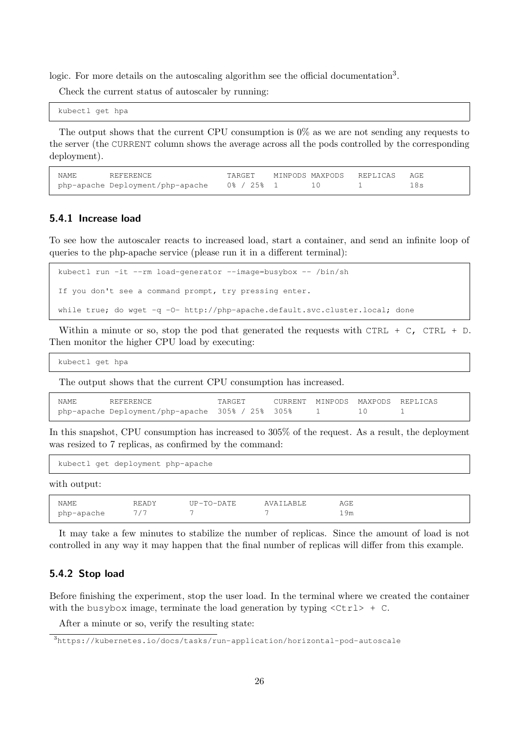logic. For more details on the autoscaling algorithm see the official documentation<sup>[3](#page-25-2)</sup>.

Check the current status of autoscaler by running:

kubectl get hpa

The output shows that the current CPU consumption is  $0\%$  as we are not sending any requests to the server (the CURRENT column shows the average across all the pods controlled by the corresponding deployment).

| NAME | REFERENCE                        | TARGET     |  | MINPODS MAXPODS REPLICAS AGE |  |
|------|----------------------------------|------------|--|------------------------------|--|
|      | php-apache Deployment/php-apache | 0% / 25% 1 |  |                              |  |

### <span id="page-25-0"></span>5.4.1 Increase load

To see how the autoscaler reacts to increased load, start a container, and send an infinite loop of queries to the php-apache service (please run it in a different terminal):

```
kubectl run -it --rm load-generator --image=busybox -- /bin/sh
If you don't see a command prompt, try pressing enter.
while true; do wget -q -0- http://php-apache.default.svc.cluster.local; done
```
Within a minute or so, stop the pod that generated the requests with CTRL  $+$  C, CTRL  $+$  D. Then monitor the higher CPU load by executing:

kubectl get hpa

The output shows that the current CPU consumption has increased.

| NAME<br>REFERENCE                                | TARGET |  |          | CURRENT MINPODS MAXPODS REPLICAS |
|--------------------------------------------------|--------|--|----------|----------------------------------|
| php-apache Deployment/php-apache 305% / 25% 305% |        |  | $\Box$ 0 |                                  |

In this snapshot, CPU consumption has increased to 305% of the request. As a result, the deployment was resized to 7 replicas, as confirmed by the command:

kubectl get deployment php-apache

with output:

| <b>NAME</b> | READY | $IIP - TO - DATE$ | AVAILARLE | AGE |
|-------------|-------|-------------------|-----------|-----|
|             |       |                   |           |     |
| php-apache  |       |                   |           | 19m |

It may take a few minutes to stabilize the number of replicas. Since the amount of load is not controlled in any way it may happen that the final number of replicas will differ from this example.

#### <span id="page-25-1"></span>5.4.2 Stop load

Before finishing the experiment, stop the user load. In the terminal where we created the container with the busybox image, terminate the load generation by typing  $\langle \text{Ctrl}\rangle$  + C.

After a minute or so, verify the resulting state:

<span id="page-25-2"></span><sup>3</sup><https://kubernetes.io/docs/tasks/run-application/horizontal-pod-autoscale>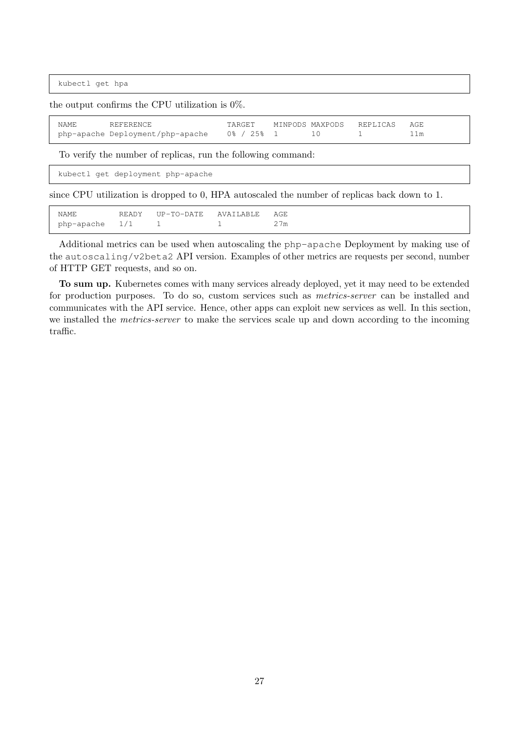kubectl get hpa

the output confirms the CPU utilization is 0%.

| NAME | REFERENCE                        | TARGET         |  | MINPODS MAXPODS REPLICAS AGE |  |
|------|----------------------------------|----------------|--|------------------------------|--|
|      | php-apache Deployment/php-apache | $0\%$ / 2.5% 1 |  |                              |  |

To verify the number of replicas, run the following command:

kubectl get deployment php-apache

since CPU utilization is dropped to 0, HPA autoscaled the number of replicas back down to 1.

| NAMF.          | READY | IIP-TO-DATE | AVATI.ARI.F. | AGE. |
|----------------|-------|-------------|--------------|------|
| php-apache 1/1 |       |             |              | 27m  |

Additional metrics can be used when autoscaling the php-apache Deployment by making use of the autoscaling/v2beta2 API version. Examples of other metrics are requests per second, number of HTTP GET requests, and so on.

To sum up. Kubernetes comes with many services already deployed, yet it may need to be extended for production purposes. To do so, custom services such as metrics-server can be installed and communicates with the API service. Hence, other apps can exploit new services as well. In this section, we installed the *metrics-server* to make the services scale up and down according to the incoming traffic.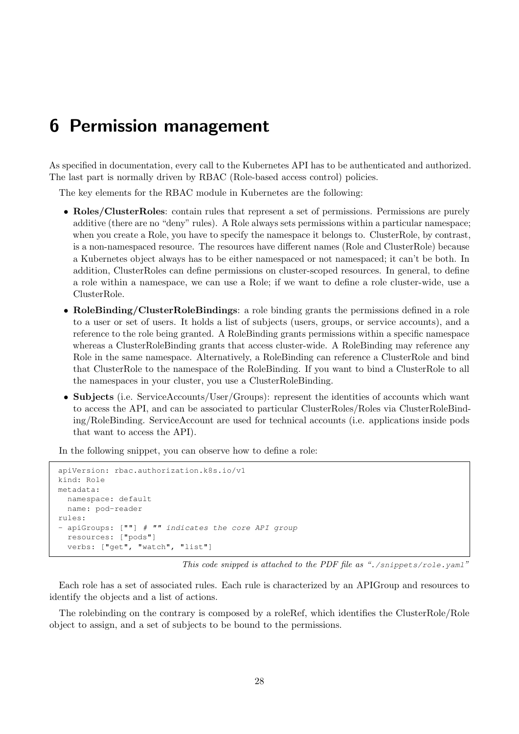# <span id="page-27-0"></span>6 Permission management

As specified in documentation, every call to the Kubernetes API has to be authenticated and authorized. The last part is normally driven by RBAC (Role-based access control) policies.

The key elements for the RBAC module in Kubernetes are the following:

- Roles/ClusterRoles: contain rules that represent a set of permissions. Permissions are purely additive (there are no "deny" rules). A Role always sets permissions within a particular namespace; when you create a Role, you have to specify the namespace it belongs to. ClusterRole, by contrast, is a non-namespaced resource. The resources have different names (Role and ClusterRole) because a Kubernetes object always has to be either namespaced or not namespaced; it can't be both. In addition, ClusterRoles can define permissions on cluster-scoped resources. In general, to define a role within a namespace, we can use a Role; if we want to define a role cluster-wide, use a ClusterRole.
- RoleBinding/ClusterRoleBindings: a role binding grants the permissions defined in a role to a user or set of users. It holds a list of subjects (users, groups, or service accounts), and a reference to the role being granted. A RoleBinding grants permissions within a specific namespace whereas a ClusterRoleBinding grants that access cluster-wide. A RoleBinding may reference any Role in the same namespace. Alternatively, a RoleBinding can reference a ClusterRole and bind that ClusterRole to the namespace of the RoleBinding. If you want to bind a ClusterRole to all the namespaces in your cluster, you use a ClusterRoleBinding.
- Subjects (i.e. ServiceAccounts/User/Groups): represent the identities of accounts which want to access the API, and can be associated to particular ClusterRoles/Roles via ClusterRoleBinding/RoleBinding. ServiceAccount are used for technical accounts (i.e. applications inside pods that want to access the API).

In the following snippet, you can observe how to define a role:

```
apiVersion: rbac.authorization.k8s.io/v1
kind: Role
metadata:
  namespace: default
  name: pod-reader
rules:
- apiGroups: [""] # "" indicates the core API group
  resources: ["pods"]
  verbs: ["get", "watch", "list"]
```
This code snipped is attached to the PDF file as "./snippets/role.yaml"

Each role has a set of associated rules. Each rule is characterized by an APIGroup and resources to identify the objects and a list of actions.

The rolebinding on the contrary is composed by a roleRef, which identifies the ClusterRole/Role object to assign, and a set of subjects to be bound to the permissions.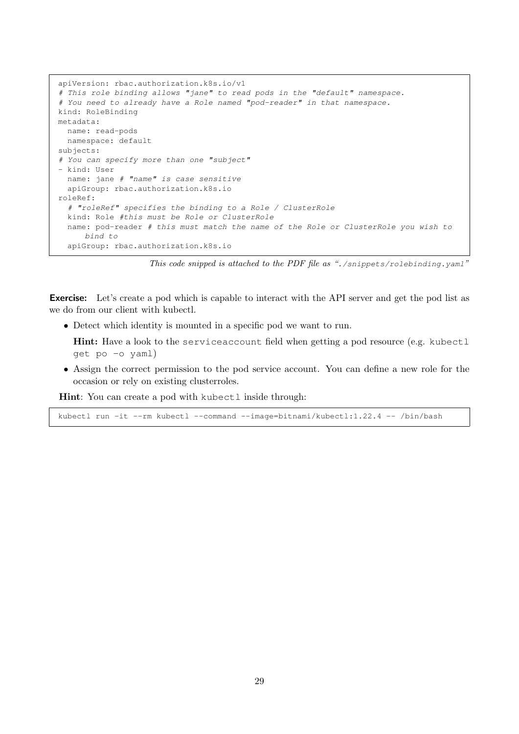```
apiVersion: rbac.authorization.k8s.io/v1
# This role binding allows "jane" to read pods in the "default" namespace.
# You need to already have a Role named "pod-reader" in that namespace.
kind: RoleBinding
metadata:
 name: read-pods
 namespace: default
subjects:
# You can specify more than one "subject"
- kind: User
 name: jane # "name" is case sensitive
 apiGroup: rbac.authorization.k8s.io
roleRef:
  # "roleRef" specifies the binding to a Role / ClusterRole
 kind: Role #this must be Role or ClusterRole
  name: pod-reader # this must match the name of the Role or ClusterRole you wish to
     bind to
  apiGroup: rbac.authorization.k8s.io
```
This code snipped is attached to the PDF file as "./snippets/rolebinding.yaml"

**Exercise:** Let's create a pod which is capable to interact with the API server and get the pod list as we do from our client with kubectl.

• Detect which identity is mounted in a specific pod we want to run.

**Hint:** Have a look to the serviceaccount field when getting a pod resource (e.g. kubectl get po -o yaml)

• Assign the correct permission to the pod service account. You can define a new role for the occasion or rely on existing clusterroles.

Hint: You can create a pod with kubectl inside through:

kubectl run -it --rm kubectl --command --image=bitnami/kubectl:1.22.4 -- /bin/bash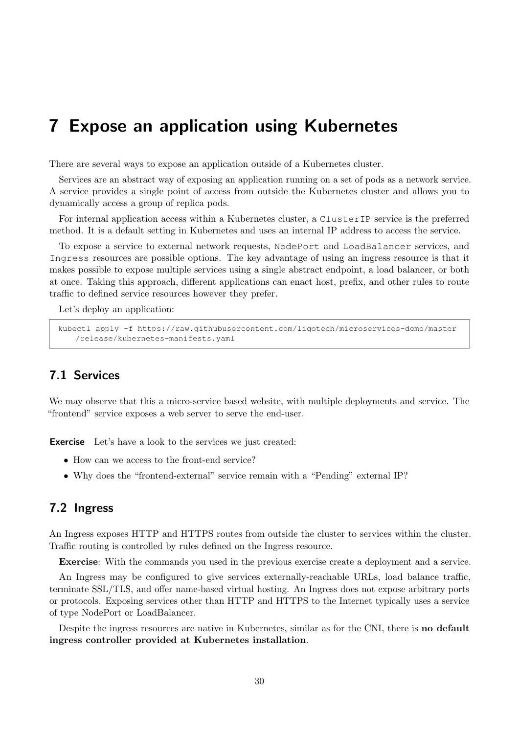# <span id="page-29-0"></span>7 Expose an application using Kubernetes

There are several ways to expose an application outside of a Kubernetes cluster.

Services are an abstract way of exposing an application running on a set of pods as a network service. A service provides a single point of access from outside the Kubernetes cluster and allows you to dynamically access a group of replica pods.

For internal application access within a Kubernetes cluster, a ClusterIP service is the preferred method. It is a default setting in Kubernetes and uses an internal IP address to access the service.

To expose a service to external network requests, NodePort and LoadBalancer services, and Ingress resources are possible options. The key advantage of using an ingress resource is that it makes possible to expose multiple services using a single abstract endpoint, a load balancer, or both at once. Taking this approach, different applications can enact host, prefix, and other rules to route traffic to defined service resources however they prefer.

Let's deploy an application:

```
kubectl apply -f https://raw.githubusercontent.com/liqotech/microservices-demo/master
   /release/kubernetes-manifests.yaml
```
## <span id="page-29-1"></span>7.1 Services

We may observe that this a micro-service based website, with multiple deployments and service. The "frontend" service exposes a web server to serve the end-user.

**Exercise** Let's have a look to the services we just created:

- How can we access to the front-end service?
- Why does the "frontend-external" service remain with a "Pending" external IP?

### <span id="page-29-2"></span>7.2 Ingress

An Ingress exposes HTTP and HTTPS routes from outside the cluster to services within the cluster. Traffic routing is controlled by rules defined on the Ingress resource.

Exercise: With the commands you used in the previous exercise create a deployment and a service.

An Ingress may be configured to give services externally-reachable URLs, load balance traffic, terminate SSL/TLS, and offer name-based virtual hosting. An Ingress does not expose arbitrary ports or protocols. Exposing services other than HTTP and HTTPS to the Internet typically uses a service of type NodePort or LoadBalancer.

Despite the ingress resources are native in Kubernetes, similar as for the CNI, there is **no default** ingress controller provided at Kubernetes installation.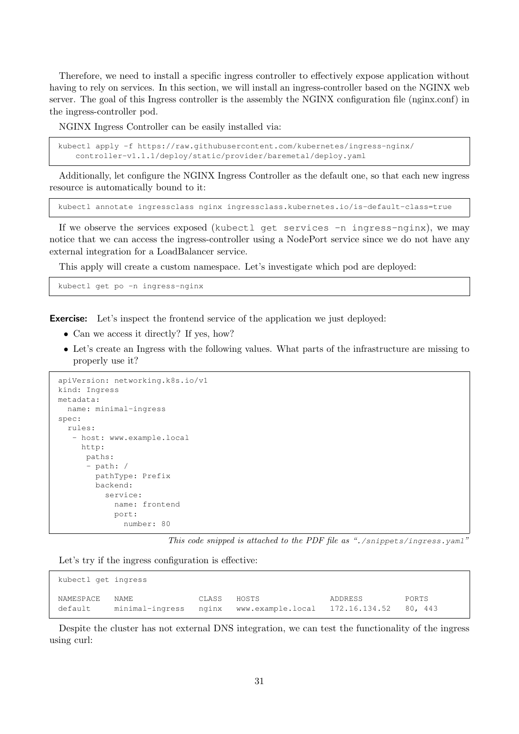Therefore, we need to install a specific ingress controller to effectively expose application without having to rely on services. In this section, we will install an ingress-controller based on the NGINX web server. The goal of this Ingress controller is the assembly the NGINX configuration file (nginx.conf) in the ingress-controller pod.

NGINX Ingress Controller can be easily installed via:

```
kubectl apply -f https://raw.githubusercontent.com/kubernetes/ingress-nginx/
   controller-v1.1.1/deploy/static/provider/baremetal/deploy.yaml
```
Additionally, let configure the NGINX Ingress Controller as the default one, so that each new ingress resource is automatically bound to it:

kubectl annotate ingressclass nginx ingressclass.kubernetes.io/is-default-class=true

If we observe the services exposed (kubectl get services -n ingress-nginx), we may notice that we can access the ingress-controller using a NodePort service since we do not have any external integration for a LoadBalancer service.

This apply will create a custom namespace. Let's investigate which pod are deployed:

kubectl get po -n ingress-nginx

Exercise: Let's inspect the frontend service of the application we just deployed:

- Can we access it directly? If yes, how?
- Let's create an Ingress with the following values. What parts of the infrastructure are missing to properly use it?

```
apiVersion: networking.k8s.io/v1
kind: Ingress
metadata:
 name: minimal-ingress
spec:
  rules:
   - host: www.example.local
    http:
      paths:
      - path: /
        pathType: Prefix
        backend:
          service:
            name: frontend
            port:
              number: 80
```
This code snipped is attached to the PDF file as "./snippets/ingress.yaml"

Let's try if the ingress configuration is effective:

| kubectl get ingress  |      |             |                                                               |         |       |  |  |  |
|----------------------|------|-------------|---------------------------------------------------------------|---------|-------|--|--|--|
| NAMESPACE<br>default | NAME | CLASS HOSTS | minimal-ingress nginx www.example.local 172.16.134.52 80, 443 | ADDRESS | PORTS |  |  |  |

Despite the cluster has not external DNS integration, we can test the functionality of the ingress using curl: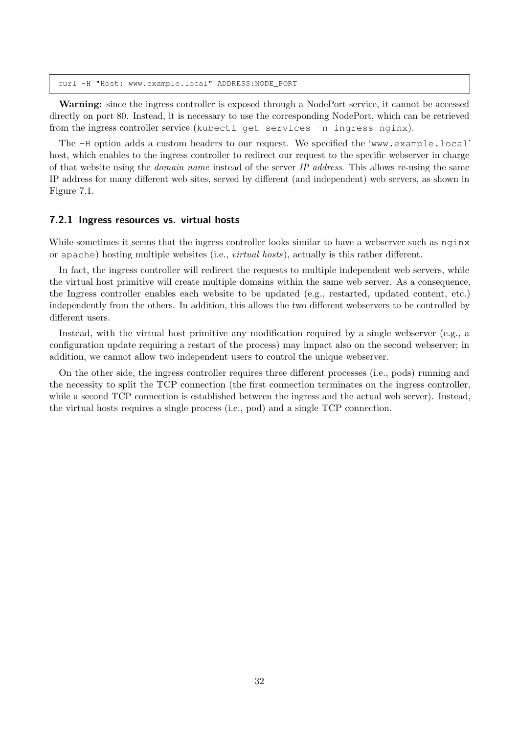curl -H "Host: www.example.local" ADDRESS:NODE\_PORT

Warning: since the ingress controller is exposed through a NodePort service, it cannot be accessed directly on port 80. Instead, it is necessary to use the corresponding NodePort, which can be retrieved from the ingress controller service (kubectl get services -n ingress-nginx).

The -H option adds a custom headers to our request. We specified the 'www.example.local' host, which enables to the ingress controller to redirect our request to the specific webserver in charge of that website using the *domain name* instead of the server  $IP$  address. This allows re-using the same IP address for many different web sites, served by different (and independent) web servers, as shown in [Figure 7.1.](#page-32-0)

#### <span id="page-31-0"></span>7.2.1 Ingress resources vs. virtual hosts

While sometimes it seems that the ingress controller looks similar to have a webserver such as nginx or apache) hosting multiple websites (i.e., virtual hosts), actually is this rather different.

In fact, the ingress controller will redirect the requests to multiple independent web servers, while the virtual host primitive will create multiple domains within the same web server. As a consequence, the Ingress controller enables each website to be updated (e.g., restarted, updated content, etc.) independently from the others. In addition, this allows the two different webservers to be controlled by different users.

Instead, with the virtual host primitive any modification required by a single webserver (e.g., a configuration update requiring a restart of the process) may impact also on the second webserver; in addition, we cannot allow two independent users to control the unique webserver.

On the other side, the ingress controller requires three different processes (i.e., pods) running and the necessity to split the TCP connection (the first connection terminates on the ingress controller, while a second TCP connection is established between the ingress and the actual web server). Instead, the virtual hosts requires a single process (i.e., pod) and a single TCP connection.